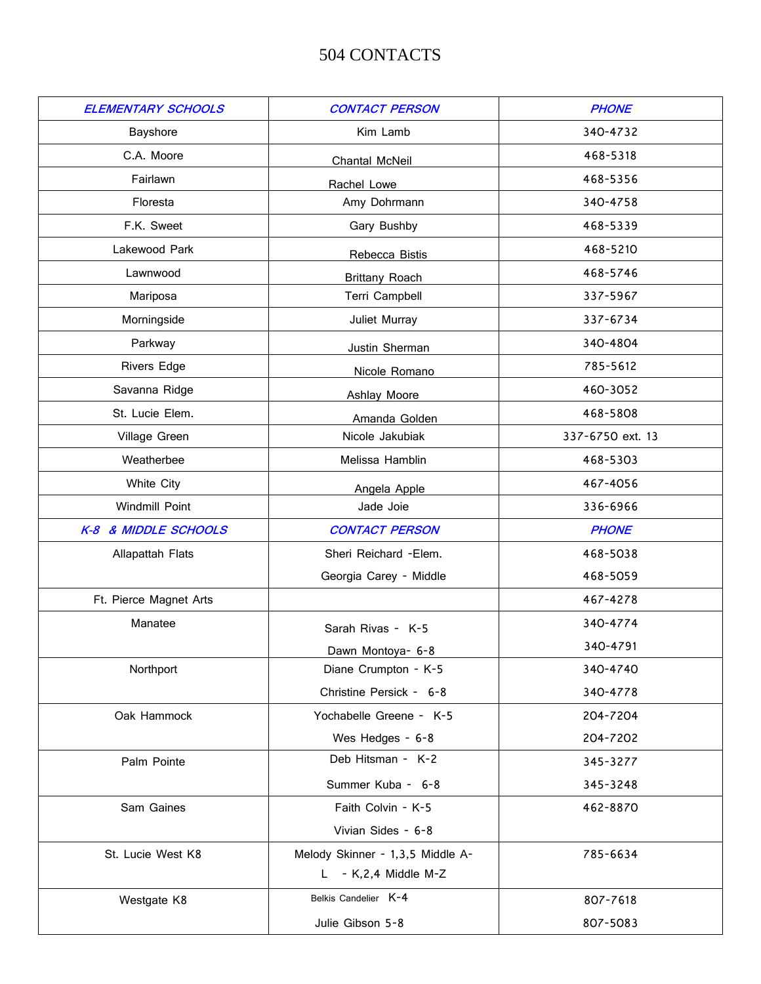## 504 CONTACTS

| <b>ELEMENTARY SCHOOLS</b> | <b>CONTACT PERSON</b>            | <b>PHONE</b>     |
|---------------------------|----------------------------------|------------------|
| Bayshore                  | Kim Lamb                         | 340-4732         |
| C.A. Moore                | Chantal McNeil                   | 468-5318         |
| Fairlawn                  | Rachel Lowe                      | 468-5356         |
| Floresta                  | Amy Dohrmann                     | 340-4758         |
| F.K. Sweet                | Gary Bushby                      | 468-5339         |
| Lakewood Park             | Rebecca Bistis                   | 468-5210         |
| Lawnwood                  | <b>Brittany Roach</b>            | 468-5746         |
| Mariposa                  | Terri Campbell                   | 337-5967         |
| Morningside               | Juliet Murray                    | 337-6734         |
| Parkway                   |                                  | 340-4804         |
| <b>Rivers Edge</b>        | Justin Sherman                   | 785-5612         |
| Savanna Ridge             | Nicole Romano                    | 460-3052         |
| St. Lucie Elem.           | <b>Ashlay Moore</b>              | 468-5808         |
| Village Green             | Amanda Golden<br>Nicole Jakubiak | 337-6750 ext. 13 |
| Weatherbee                | Melissa Hamblin                  | 468-5303         |
| White City                |                                  | 467-4056         |
| Windmill Point            | Angela Apple<br>Jade Joie        | 336-6966         |
|                           |                                  |                  |
| K-8 & MIDDLE SCHOOLS      | <b>CONTACT PERSON</b>            | <b>PHONE</b>     |
| Allapattah Flats          | Sheri Reichard - Elem.           | 468-5038         |
|                           | Georgia Carey - Middle           | 468-5059         |
| Ft. Pierce Magnet Arts    |                                  | 467-4278         |
| Manatee                   | Sarah Rivas - K-5                | 340-4774         |
|                           | Dawn Montoya- 6-8                | 340-4791         |
| Northport                 | Diane Crumpton - K-5             | 340-4740         |
|                           | Christine Persick - 6-8          | 340-4778         |
| Oak Hammock               | Yochabelle Greene - K-5          | 204-7204         |
|                           | Wes Hedges - 6-8                 | 204-7202         |
| Palm Pointe               | Deb Hitsman - K-2                | 345-3277         |
|                           | Summer Kuba - 6-8                | 345-3248         |
| Sam Gaines                | Faith Colvin - K-5               | 462-8870         |
|                           | Vivian Sides - 6-8               |                  |
| St. Lucie West K8         | Melody Skinner - 1,3,5 Middle A- | 785-6634         |
|                           | $L - K$ , 2, 4 Middle M-Z        |                  |
| Westgate K8               | Belkis Candelier K-4             | 807-7618         |
|                           | Julie Gibson 5-8                 | 807-5083         |